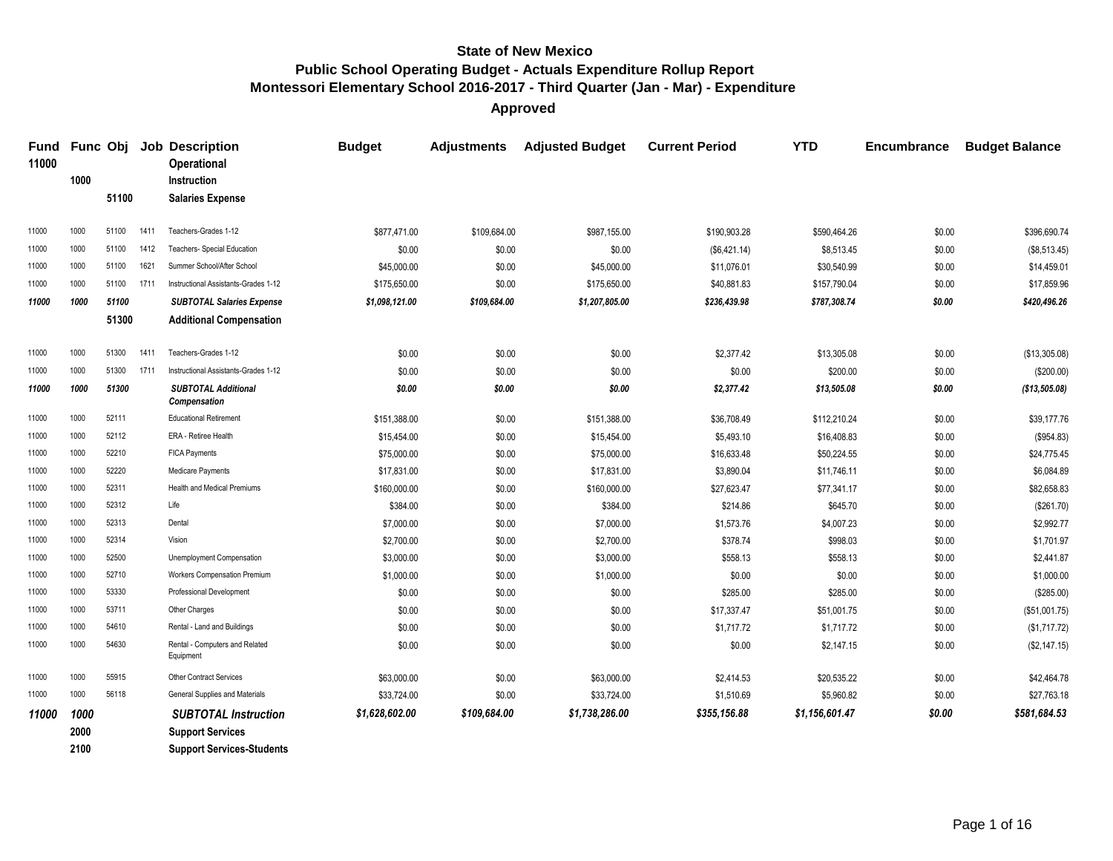| <b>Fund</b><br>11000 |              | Func Obj       |      | <b>Job Description</b><br><b>Operational</b>            | <b>Budget</b>            | <b>Adjustments</b> | <b>Adjusted Budget</b>   | <b>Current Period</b> | <b>YTD</b>           | <b>Encumbrance</b> | <b>Budget Balance</b>    |
|----------------------|--------------|----------------|------|---------------------------------------------------------|--------------------------|--------------------|--------------------------|-----------------------|----------------------|--------------------|--------------------------|
|                      | 1000         |                |      | Instruction                                             |                          |                    |                          |                       |                      |                    |                          |
|                      |              | 51100          |      | <b>Salaries Expense</b>                                 |                          |                    |                          |                       |                      |                    |                          |
| 11000                | 1000         | 51100          | 1411 | Teachers-Grades 1-12                                    | \$877.471.00             | \$109.684.00       | \$987.155.00             | \$190.903.28          | \$590.464.26         | \$0.00             | \$396.690.74             |
| 11000                | 1000         | 51100          | 1412 | Teachers- Special Education                             | \$0.00                   | \$0.00             | \$0.00                   | (\$6,421.14)          | \$8,513.45           | \$0.00             | (\$8,513.45)             |
| 11000                | 1000         | 51100          | 1621 | Summer School/After School                              | \$45,000.00              | \$0.00             | \$45,000.00              | \$11,076.01           | \$30,540.99          | \$0.00             | \$14,459.01              |
| 11000                | 1000         | 51100          | 1711 | Instructional Assistants-Grades 1-12                    | \$175,650.00             | \$0.00             | \$175,650.00             | \$40,881.83           | \$157,790.04         | \$0.00             | \$17,859.96              |
| 11000                | 1000         | 51100          |      | <b>SUBTOTAL Salaries Expense</b>                        | \$1,098,121.00           | \$109,684.00       | \$1,207,805.00           | \$236,439.98          | \$787,308.74         | \$0.00             | \$420,496.26             |
|                      |              | 51300          |      | <b>Additional Compensation</b>                          |                          |                    |                          |                       |                      |                    |                          |
| 11000                | 1000         | 51300          | 1411 | Teachers-Grades 1-12                                    | \$0.00                   | \$0.00             | \$0.00                   | \$2,377.42            | \$13,305.08          | \$0.00             | (\$13,305.08)            |
| 11000                | 1000         | 51300          | 1711 | Instructional Assistants-Grades 1-12                    | \$0.00                   | \$0.00             | \$0.00                   | \$0.00                | \$200.00             | \$0.00             | (\$200.00)               |
| 11000                | 1000         | 51300          |      | <b>SUBTOTAL Additional</b>                              | \$0.00                   | \$0.00             | \$0.00                   | \$2,377.42            | \$13,505.08          | \$0.00             | (\$13,505.08)            |
|                      |              |                |      | Compensation                                            |                          |                    |                          |                       |                      |                    |                          |
| 11000                | 1000         | 52111          |      | <b>Educational Retirement</b>                           | \$151,388.00             | \$0.00             | \$151,388.00             | \$36,708.49           | \$112,210.24         | \$0.00             | \$39,177.76              |
| 11000                | 1000         | 52112          |      | ERA - Retiree Health                                    | \$15,454.00              | \$0.00             | \$15,454.00              | \$5,493.10            | \$16,408.83          | \$0.00             | (\$954.83)               |
| 11000<br>11000       | 1000         | 52210<br>52220 |      | FICA Payments                                           | \$75,000.00              | \$0.00             | \$75,000.00              | \$16,633.48           | \$50.224.55          | \$0.00             | \$24,775.45              |
| 11000                | 1000<br>1000 | 52311          |      | Medicare Payments<br><b>Health and Medical Premiums</b> | \$17,831.00              | \$0.00             | \$17,831.00              | \$3,890.04            | \$11,746.11          | \$0.00             | \$6,084.89               |
| 11000                | 1000         | 52312          |      | Life                                                    | \$160,000.00             | \$0.00             | \$160,000.00             | \$27,623.47           | \$77,341.17          | \$0.00             | \$82,658.83              |
| 11000                | 1000         | 52313          |      | Dental                                                  | \$384.00                 | \$0.00             | \$384.00                 | \$214.86              | \$645.70             | \$0.00             | (\$261.70)               |
| 11000                | 1000         | 52314          |      | Vision                                                  | \$7,000.00               | \$0.00             | \$7,000.00               | \$1,573.76            | \$4,007.23           | \$0.00             | \$2,992.77               |
| 11000                | 1000         | 52500          |      | Unemployment Compensation                               | \$2,700.00<br>\$3,000.00 | \$0.00<br>\$0.00   | \$2,700.00<br>\$3,000.00 | \$378.74<br>\$558.13  | \$998.03<br>\$558.13 | \$0.00<br>\$0.00   | \$1,701.97<br>\$2,441.87 |
| 11000                | 1000         | 52710          |      | Workers Compensation Premium                            | \$1,000.00               | \$0.00             | \$1,000.00               | \$0.00                | \$0.00               | \$0.00             | \$1,000.00               |
| 11000                | 1000         | 53330          |      | Professional Development                                | \$0.00                   | \$0.00             | \$0.00                   | \$285.00              | \$285.00             | \$0.00             | (\$285.00)               |
| 11000                | 1000         | 53711          |      | Other Charges                                           | \$0.00                   | \$0.00             | \$0.00                   | \$17,337.47           | \$51,001.75          | \$0.00             | (\$51,001.75)            |
| 11000                | 1000         | 54610          |      | Rental - Land and Buildings                             | \$0.00                   | \$0.00             | \$0.00                   | \$1,717.72            | \$1,717.72           | \$0.00             | (\$1,717.72)             |
| 11000                | 1000         | 54630          |      | Rental - Computers and Related                          | \$0.00                   | \$0.00             | \$0.00                   | \$0.00                | \$2,147.15           | \$0.00             | (\$2,147.15)             |
|                      |              |                |      | Equipment                                               |                          |                    |                          |                       |                      |                    |                          |
| 11000                | 1000         | 55915          |      | <b>Other Contract Services</b>                          | \$63,000.00              | \$0.00             | \$63,000.00              | \$2.414.53            | \$20.535.22          | \$0.00             | \$42.464.78              |
| 11000                | 1000         | 56118          |      | General Supplies and Materials                          | \$33,724.00              | \$0.00             | \$33,724.00              | \$1,510.69            | \$5,960.82           | \$0.00             | \$27,763.18              |
| 11000                | 1000         |                |      | <b>SUBTOTAL Instruction</b>                             | \$1,628,602.00           | \$109,684.00       | \$1,738,286.00           | \$355,156.88          | \$1,156,601.47       | \$0.00             | \$581,684.53             |
|                      | 2000         |                |      | <b>Support Services</b>                                 |                          |                    |                          |                       |                      |                    |                          |
|                      | 2100         |                |      | <b>Support Services-Students</b>                        |                          |                    |                          |                       |                      |                    |                          |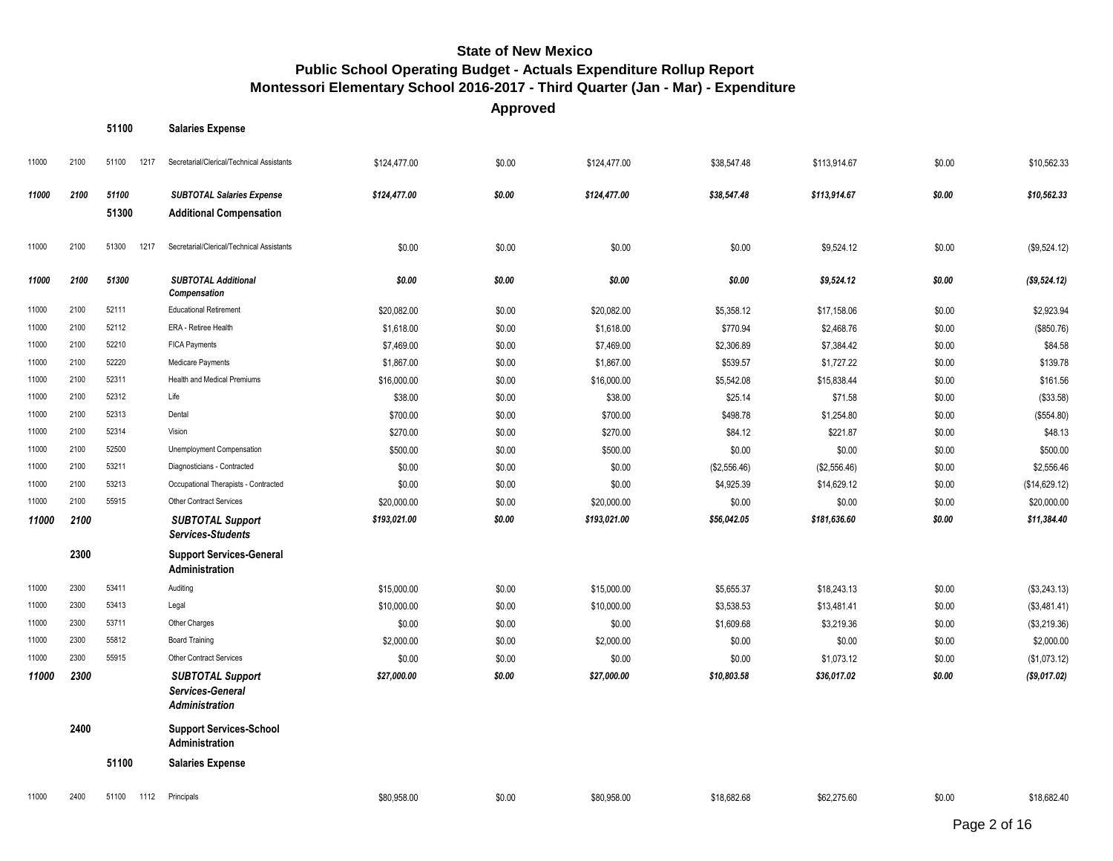**Salaries Expense**

| 11000 | 2100 | 51100<br>1217 | Secretarial/Clerical/Technical Assistants                     | \$124,477.00 | \$0.00 | \$124,477.00 | \$38,547.48  | \$113,914.67 | \$0.00 | \$10,562.33   |
|-------|------|---------------|---------------------------------------------------------------|--------------|--------|--------------|--------------|--------------|--------|---------------|
| 11000 | 2100 | 51100         | <b>SUBTOTAL Salaries Expense</b>                              | \$124,477.00 | \$0.00 | \$124,477.00 | \$38,547.48  | \$113,914.67 | \$0.00 | \$10,562.33   |
|       |      | 51300         | <b>Additional Compensation</b>                                |              |        |              |              |              |        |               |
| 11000 | 2100 | 51300<br>1217 | Secretarial/Clerical/Technical Assistants                     | \$0.00       | \$0.00 | \$0.00       | \$0.00       | \$9,524.12   | \$0.00 | (\$9,524.12)  |
| 11000 | 2100 | 51300         | <b>SUBTOTAL Additional</b><br><b>Compensation</b>             | \$0.00       | \$0.00 | \$0.00       | \$0.00       | \$9,524.12   | \$0.00 | (\$9,524.12)  |
| 11000 | 2100 | 52111         | <b>Educational Retirement</b>                                 | \$20,082.00  | \$0.00 | \$20,082.00  | \$5,358.12   | \$17,158.06  | \$0.00 | \$2,923.94    |
| 11000 | 2100 | 52112         | ERA - Retiree Health                                          | \$1,618.00   | \$0.00 | \$1,618.00   | \$770.94     | \$2,468.76   | \$0.00 | (\$850.76)    |
| 11000 | 2100 | 52210         | FICA Payments                                                 | \$7,469.00   | \$0.00 | \$7,469.00   | \$2,306.89   | \$7,384.42   | \$0.00 | \$84.58       |
| 11000 | 2100 | 52220         | Medicare Payments                                             | \$1,867.00   | \$0.00 | \$1,867.00   | \$539.57     | \$1,727.22   | \$0.00 | \$139.78      |
| 11000 | 2100 | 52311         | <b>Health and Medical Premiums</b>                            | \$16,000.00  | \$0.00 | \$16,000.00  | \$5,542.08   | \$15,838.44  | \$0.00 | \$161.56      |
| 11000 | 2100 | 52312         | Life                                                          | \$38.00      | \$0.00 | \$38.00      | \$25.14      | \$71.58      | \$0.00 | (\$33.58)     |
| 11000 | 2100 | 52313         | Dental                                                        | \$700.00     | \$0.00 | \$700.00     | \$498.78     | \$1,254.80   | \$0.00 | (\$554.80)    |
| 11000 | 2100 | 52314         | Vision                                                        | \$270.00     | \$0.00 | \$270.00     | \$84.12      | \$221.87     | \$0.00 | \$48.13       |
| 11000 | 2100 | 52500         | Unemployment Compensation                                     | \$500.00     | \$0.00 | \$500.00     | \$0.00       | \$0.00       | \$0.00 | \$500.00      |
| 11000 | 2100 | 53211         | Diagnosticians - Contracted                                   | \$0.00       | \$0.00 | \$0.00       | (\$2,556.46) | (\$2,556.46) | \$0.00 | \$2,556.46    |
| 11000 | 2100 | 53213         | Occupational Therapists - Contracted                          | \$0.00       | \$0.00 | \$0.00       | \$4,925.39   | \$14,629.12  | \$0.00 | (\$14,629.12) |
| 11000 | 2100 | 55915         | <b>Other Contract Services</b>                                | \$20,000.00  | \$0.00 | \$20,000.00  | \$0.00       | \$0.00       | \$0.00 | \$20,000.00   |
| 11000 | 2100 |               | <b>SUBTOTAL Support</b><br><b>Services-Students</b>           | \$193,021.00 | \$0.00 | \$193,021.00 | \$56,042.05  | \$181,636.60 | \$0.00 | \$11,384.40   |
|       | 2300 |               | <b>Support Services-General</b><br>Administration             |              |        |              |              |              |        |               |
| 11000 | 2300 | 53411         | Auditing                                                      | \$15,000.00  | \$0.00 | \$15,000.00  | \$5,655.37   | \$18,243.13  | \$0.00 | (\$3,243.13)  |
| 11000 | 2300 | 53413         | Legal                                                         | \$10,000.00  | \$0.00 | \$10,000.00  | \$3,538.53   | \$13,481.41  | \$0.00 | (\$3,481.41)  |
| 11000 | 2300 | 53711         | Other Charges                                                 | \$0.00       | \$0.00 | \$0.00       | \$1,609.68   | \$3,219.36   | \$0.00 | (\$3,219.36)  |
| 11000 | 2300 | 55812         | <b>Board Training</b>                                         | \$2,000.00   | \$0.00 | \$2,000.00   | \$0.00       | \$0.00       | \$0.00 | \$2,000.00    |
| 11000 | 2300 | 55915         | Other Contract Services                                       | \$0.00       | \$0.00 | \$0.00       | \$0.00       | \$1,073.12   | \$0.00 | (\$1,073.12)  |
| 11000 | 2300 |               | <b>SUBTOTAL Support</b><br>Services-General<br>Administration | \$27,000.00  | \$0.00 | \$27,000.00  | \$10,803.58  | \$36,017.02  | \$0.00 | (\$9,017.02)  |
|       | 2400 |               | <b>Support Services-School</b><br>Administration              |              |        |              |              |              |        |               |
|       |      | 51100         | <b>Salaries Expense</b>                                       |              |        |              |              |              |        |               |
| 11000 | 2400 | 51100<br>1112 | Principals                                                    | \$80.958.00  | \$0.00 | \$80,958,00  | \$18,682.68  | \$62,275.60  | \$0.00 | \$18,682.40   |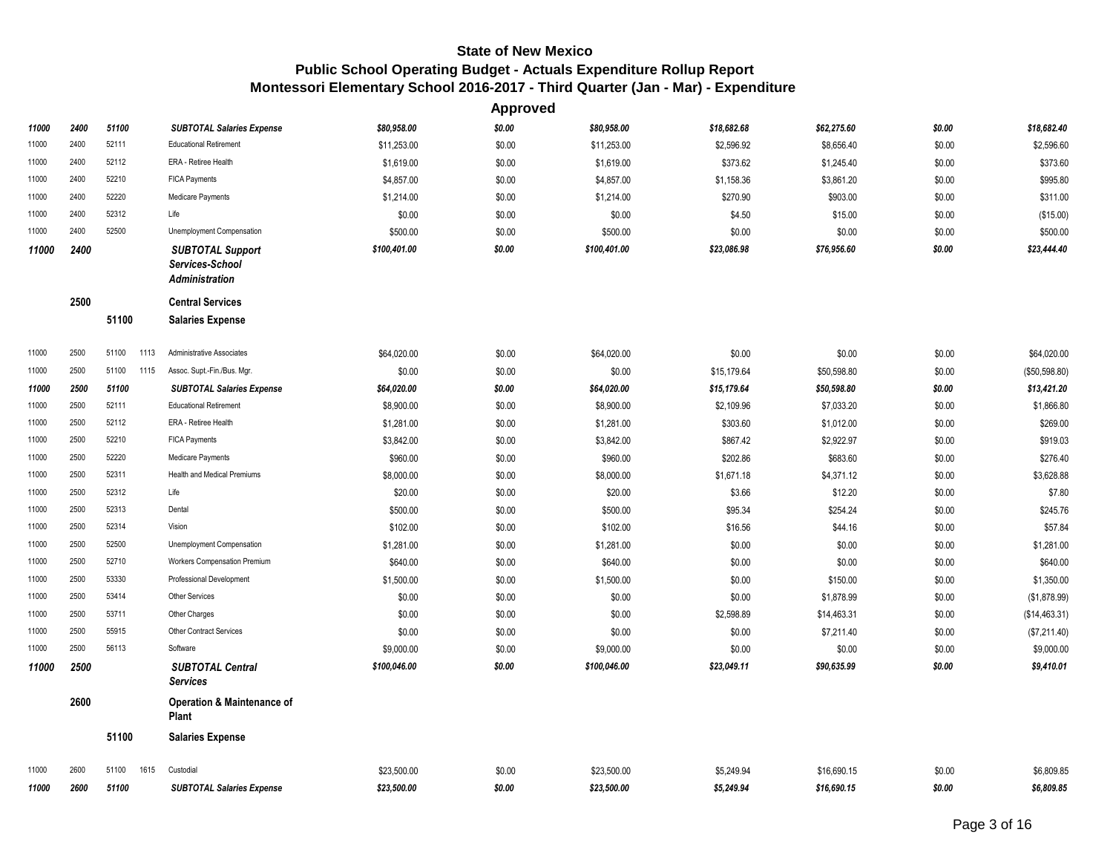|       |      |               |                                                              |              | <b>Approved</b> |              |             |             |        |               |
|-------|------|---------------|--------------------------------------------------------------|--------------|-----------------|--------------|-------------|-------------|--------|---------------|
| 11000 | 2400 | 51100         | <b>SUBTOTAL Salaries Expense</b>                             | \$80,958.00  | \$0.00          | \$80,958.00  | \$18,682.68 | \$62,275.60 | \$0.00 | \$18,682.40   |
| 11000 | 2400 | 52111         | <b>Educational Retirement</b>                                | \$11,253.00  | \$0.00          | \$11,253.00  | \$2,596.92  | \$8,656.40  | \$0.00 | \$2,596.60    |
| 11000 | 2400 | 52112         | ERA - Retiree Health                                         | \$1,619.00   | \$0.00          | \$1,619.00   | \$373.62    | \$1,245.40  | \$0.00 | \$373.60      |
| 11000 | 2400 | 52210         | FICA Payments                                                | \$4,857.00   | \$0.00          | \$4,857.00   | \$1,158.36  | \$3,861.20  | \$0.00 | \$995.80      |
| 11000 | 2400 | 52220         | Medicare Payments                                            | \$1,214.00   | \$0.00          | \$1,214.00   | \$270.90    | \$903.00    | \$0.00 | \$311.00      |
| 11000 | 2400 | 52312         | Life                                                         | \$0.00       | \$0.00          | \$0.00       | \$4.50      | \$15.00     | \$0.00 | (\$15.00)     |
| 11000 | 2400 | 52500         | Unemployment Compensation                                    | \$500.00     | \$0.00          | \$500.00     | \$0.00      | \$0.00      | \$0.00 | \$500.00      |
| 11000 | 2400 |               | <b>SUBTOTAL Support</b><br>Services-School<br>Administration | \$100,401.00 | \$0.00          | \$100,401.00 | \$23,086.98 | \$76,956.60 | \$0.00 | \$23,444.40   |
|       | 2500 |               | <b>Central Services</b>                                      |              |                 |              |             |             |        |               |
|       |      | 51100         | <b>Salaries Expense</b>                                      |              |                 |              |             |             |        |               |
| 11000 | 2500 | 51100<br>1113 | Administrative Associates                                    | \$64,020.00  | \$0.00          | \$64,020.00  | \$0.00      | \$0.00      | \$0.00 | \$64,020.00   |
| 11000 | 2500 | 51100<br>1115 | Assoc. Supt.-Fin./Bus. Mgr.                                  | \$0.00       | \$0.00          | \$0.00       | \$15,179.64 | \$50,598.80 | \$0.00 | (\$50,598.80) |
| 11000 | 2500 | 51100         | <b>SUBTOTAL Salaries Expense</b>                             | \$64,020.00  | \$0.00          | \$64,020.00  | \$15,179.64 | \$50,598.80 | \$0.00 | \$13,421.20   |
| 11000 | 2500 | 52111         | <b>Educational Retirement</b>                                | \$8,900.00   | \$0.00          | \$8,900.00   | \$2,109.96  | \$7,033.20  | \$0.00 | \$1,866.80    |
| 11000 | 2500 | 52112         | ERA - Retiree Health                                         | \$1,281.00   | \$0.00          | \$1,281.00   | \$303.60    | \$1,012.00  | \$0.00 | \$269.00      |
| 11000 | 2500 | 52210         | FICA Payments                                                | \$3,842.00   | \$0.00          | \$3,842.00   | \$867.42    | \$2,922.97  | \$0.00 | \$919.03      |
| 11000 | 2500 | 52220         | Medicare Payments                                            | \$960.00     | \$0.00          | \$960.00     | \$202.86    | \$683.60    | \$0.00 | \$276.40      |
| 11000 | 2500 | 52311         | Health and Medical Premiums                                  | \$8,000.00   | \$0.00          | \$8,000.00   | \$1,671.18  | \$4,371.12  | \$0.00 | \$3,628.88    |
| 11000 | 2500 | 52312         | Life                                                         | \$20.00      | \$0.00          | \$20.00      | \$3.66      | \$12.20     | \$0.00 | \$7.80        |
| 11000 | 2500 | 52313         | Dental                                                       | \$500.00     | \$0.00          | \$500.00     | \$95.34     | \$254.24    | \$0.00 | \$245.76      |
| 11000 | 2500 | 52314         | Vision                                                       | \$102.00     | \$0.00          | \$102.00     | \$16.56     | \$44.16     | \$0.00 | \$57.84       |
| 11000 | 2500 | 52500         | Unemployment Compensation                                    | \$1,281.00   | \$0.00          | \$1,281.00   | \$0.00      | \$0.00      | \$0.00 | \$1,281.00    |
| 11000 | 2500 | 52710         | Workers Compensation Premium                                 | \$640.00     | \$0.00          | \$640.00     | \$0.00      | \$0.00      | \$0.00 | \$640.00      |
| 11000 | 2500 | 53330         | Professional Development                                     | \$1,500.00   | \$0.00          | \$1,500.00   | \$0.00      | \$150.00    | \$0.00 | \$1,350.00    |
| 11000 | 2500 | 53414         | Other Services                                               | \$0.00       | \$0.00          | \$0.00       | \$0.00      | \$1,878.99  | \$0.00 | (\$1,878.99)  |
| 11000 | 2500 | 53711         | Other Charges                                                | \$0.00       | \$0.00          | \$0.00       | \$2,598.89  | \$14,463.31 | \$0.00 | (\$14,463.31) |
| 11000 | 2500 | 55915         | <b>Other Contract Services</b>                               | \$0.00       | \$0.00          | \$0.00       | \$0.00      | \$7,211.40  | \$0.00 | (\$7,211.40)  |
| 11000 | 2500 | 56113         | Software                                                     | \$9,000.00   | \$0.00          | \$9,000.00   | \$0.00      | \$0.00      | \$0.00 | \$9,000.00    |
| 11000 | 2500 |               | <b>SUBTOTAL Central</b><br><b>Services</b>                   | \$100,046.00 | \$0.00          | \$100,046.00 | \$23,049.11 | \$90,635.99 | \$0.00 | \$9,410.01    |
|       | 2600 |               | Operation & Maintenance of<br>Plant                          |              |                 |              |             |             |        |               |
|       |      | 51100         | <b>Salaries Expense</b>                                      |              |                 |              |             |             |        |               |
| 11000 | 2600 | 51100<br>1615 | Custodial                                                    | \$23,500.00  | \$0.00          | \$23.500.00  | \$5,249.94  | \$16.690.15 | \$0.00 | \$6.809.85    |
| 11000 | 2600 | 51100         | <b>SUBTOTAL Salaries Expense</b>                             | \$23,500.00  | \$0.00          | \$23,500.00  | \$5,249.94  | \$16,690.15 | \$0.00 | \$6,809.85    |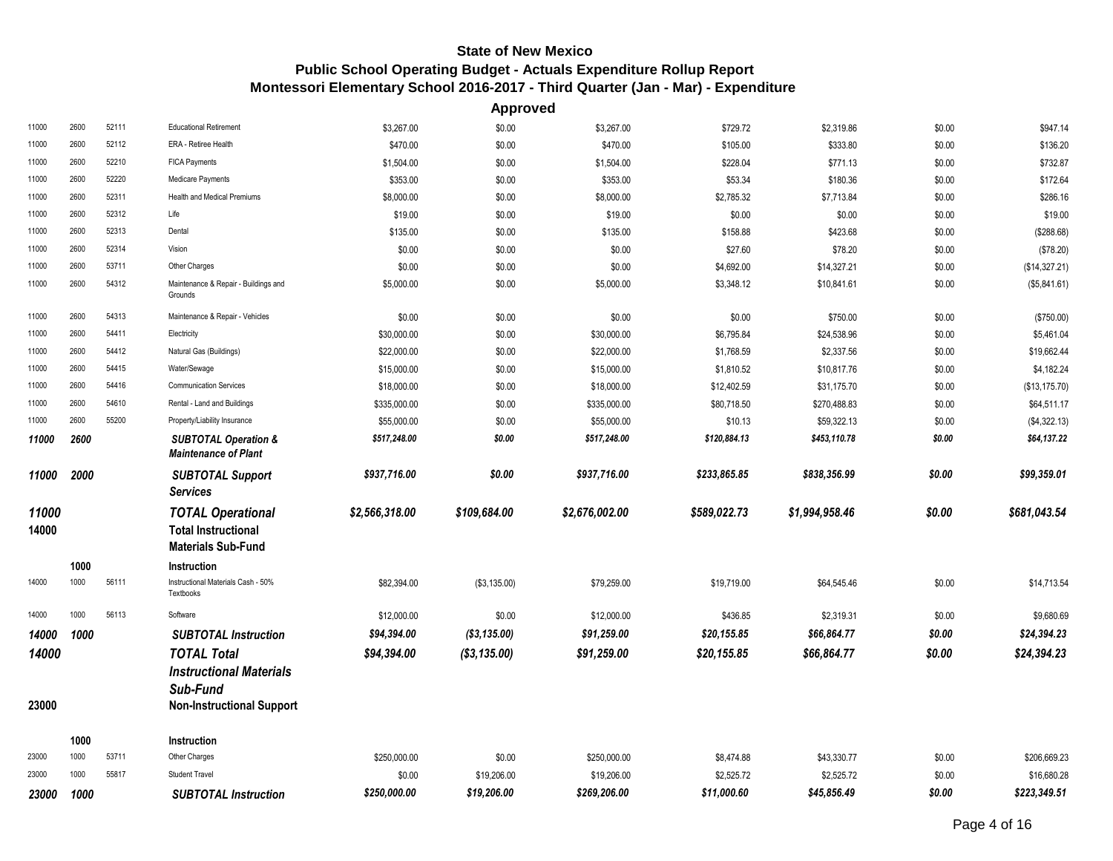**Approved**

| 11000          | 2600 | 52111 | <b>Educational Retirement</b>                                                       | \$3,267.00             | \$0.00                     | \$3,267.00     | \$729.72                  | \$2,319.86                | \$0.00           | \$947.14                    |
|----------------|------|-------|-------------------------------------------------------------------------------------|------------------------|----------------------------|----------------|---------------------------|---------------------------|------------------|-----------------------------|
| 11000          | 2600 | 52112 | ERA - Retiree Health                                                                | \$470.00               | \$0.00                     | \$470.00       | \$105.00                  | \$333.80                  | \$0.00           | \$136.20                    |
| 11000          | 2600 | 52210 | FICA Payments                                                                       | \$1,504.00             | \$0.00                     | \$1,504.00     | \$228.04                  | \$771.13                  | \$0.00           | \$732.87                    |
| 11000          | 2600 | 52220 | Medicare Payments                                                                   | \$353.00               | \$0.00                     | \$353.00       | \$53.34                   | \$180.36                  | \$0.00           | \$172.64                    |
| 11000          | 2600 | 52311 | <b>Health and Medical Premiums</b>                                                  | \$8,000.00             | \$0.00                     | \$8,000.00     | \$2,785.32                | \$7,713.84                | \$0.00           | \$286.16                    |
| 11000          | 2600 | 52312 | Life                                                                                | \$19.00                | \$0.00                     | \$19.00        | \$0.00                    | \$0.00                    | \$0.00           | \$19.00                     |
| 11000          | 2600 | 52313 | Dental                                                                              | \$135.00               | \$0.00                     | \$135.00       | \$158.88                  | \$423.68                  | \$0.00           | (\$288.68)                  |
| 11000          | 2600 | 52314 | Vision                                                                              | \$0.00                 | \$0.00                     | \$0.00         | \$27.60                   | \$78.20                   | \$0.00           | (\$78.20)                   |
| 11000          | 2600 | 53711 | Other Charges                                                                       | \$0.00                 | \$0.00                     | \$0.00         | \$4,692.00                | \$14,327.21               | \$0.00           | (\$14,327.21)               |
| 11000          | 2600 | 54312 | Maintenance & Repair - Buildings and<br>Grounds                                     | \$5,000.00             | \$0.00                     | \$5,000.00     | \$3,348.12                | \$10,841.61               | \$0.00           | (\$5,841.61)                |
| 11000          | 2600 | 54313 | Maintenance & Repair - Vehicles                                                     | \$0.00                 | \$0.00                     | \$0.00         | \$0.00                    | \$750.00                  | \$0.00           | (\$750.00)                  |
| 11000          | 2600 | 54411 | Electricity                                                                         | \$30,000.00            | \$0.00                     | \$30,000.00    | \$6,795.84                | \$24,538.96               | \$0.00           | \$5,461.04                  |
| 11000          | 2600 | 54412 | Natural Gas (Buildings)                                                             | \$22,000.00            | \$0.00                     | \$22,000.00    | \$1,768.59                | \$2,337.56                | \$0.00           | \$19,662.44                 |
| 11000          | 2600 | 54415 | Water/Sewage                                                                        | \$15,000.00            | \$0.00                     | \$15,000.00    | \$1,810.52                | \$10,817.76               | \$0.00           | \$4,182.24                  |
| 11000          | 2600 | 54416 | <b>Communication Services</b>                                                       | \$18,000.00            | \$0.00                     | \$18,000.00    | \$12,402.59               | \$31,175.70               | \$0.00           | (\$13,175.70)               |
| 11000          | 2600 | 54610 | Rental - Land and Buildings                                                         | \$335,000.00           | \$0.00                     | \$335,000.00   | \$80,718.50               | \$270,488.83              | \$0.00           | \$64,511.17                 |
| 11000          | 2600 | 55200 | Property/Liability Insurance                                                        | \$55,000.00            | \$0.00                     | \$55,000.00    | \$10.13                   | \$59,322.13               | \$0.00           | (\$4,322.13)                |
| 11000          | 2600 |       | <b>SUBTOTAL Operation &amp;</b><br><b>Maintenance of Plant</b>                      | \$517,248.00           | \$0.00                     | \$517,248.00   | \$120,884.13              | \$453,110.78              | \$0.00           | \$64,137.22                 |
|                |      |       |                                                                                     |                        |                            |                |                           |                           |                  |                             |
| 11000          | 2000 |       | <b>SUBTOTAL Support</b><br><b>Services</b>                                          | \$937,716.00           | \$0.00                     | \$937,716.00   | \$233,865.85              | \$838,356.99              | \$0.00           | \$99,359.01                 |
| 11000<br>14000 |      |       | <b>TOTAL Operational</b><br><b>Total Instructional</b><br><b>Materials Sub-Fund</b> | \$2,566,318.00         | \$109,684.00               | \$2,676,002.00 | \$589,022.73              | \$1,994,958.46            | \$0.00           | \$681,043.54                |
|                | 1000 |       | <b>Instruction</b>                                                                  |                        |                            |                |                           |                           |                  |                             |
| 14000          | 1000 | 56111 | Instructional Materials Cash - 50%<br>Textbooks                                     | \$82,394.00            | (\$3,135.00)               | \$79,259.00    | \$19,719.00               | \$64,545.46               | \$0.00           | \$14,713.54                 |
| 14000          | 1000 | 56113 | Software                                                                            | \$12,000.00            | \$0.00                     | \$12,000.00    | \$436.85                  | \$2,319.31                | \$0.00           | \$9,680.69                  |
| 14000          | 1000 |       | <b>SUBTOTAL Instruction</b>                                                         | \$94,394.00            | (\$3,135.00)               | \$91,259.00    | \$20,155.85               | \$66,864.77               | \$0.00           | \$24,394.23                 |
|                |      |       | <b>TOTAL Total</b>                                                                  |                        |                            |                | \$20,155.85               | \$66,864.77               | \$0.00           | \$24,394.23                 |
| 14000          |      |       | <b>Instructional Materials</b>                                                      | \$94,394.00            | (\$3,135.00)               | \$91,259.00    |                           |                           |                  |                             |
| 23000          |      |       | Sub-Fund<br><b>Non-Instructional Support</b>                                        |                        |                            |                |                           |                           |                  |                             |
|                | 1000 |       | Instruction                                                                         |                        |                            |                |                           |                           |                  |                             |
| 23000          | 1000 | 53711 | Other Charges                                                                       | \$250,000.00           | \$0.00                     | \$250,000.00   | \$8,474.88                | \$43,330.77               | \$0.00           | \$206,669.23                |
| 23000          | 1000 | 55817 | <b>Student Travel</b>                                                               | \$0.00<br>\$250,000.00 | \$19,206.00<br>\$19,206.00 | \$19,206.00    | \$2,525.72<br>\$11,000.60 | \$2,525.72<br>\$45,856.49 | \$0.00<br>\$0.00 | \$16,680.28<br>\$223,349.51 |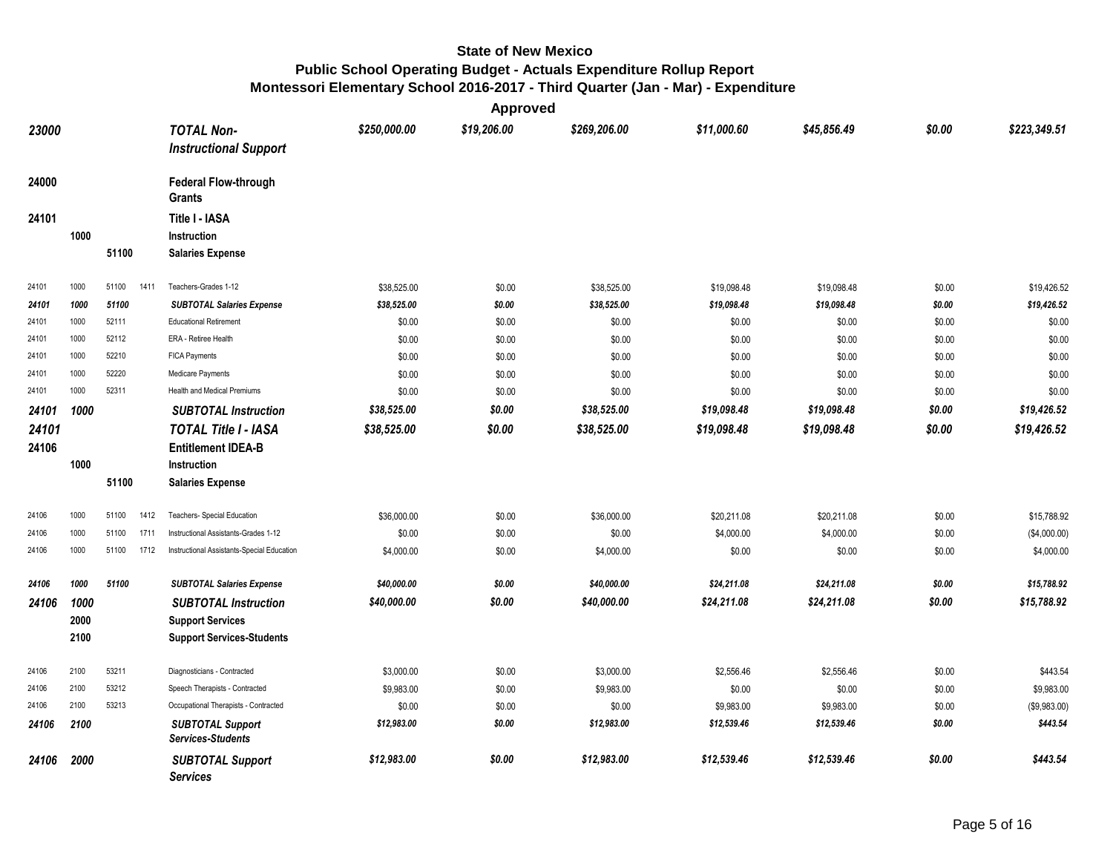**Approved**

| 23000 |      |       |      | <b>TOTAL Non-</b><br><b>Instructional Support</b>   | \$250,000.00 | \$19,206.00 | \$269,206.00 | \$11,000.60 | \$45,856.49 | \$0.00 | \$223,349.51 |
|-------|------|-------|------|-----------------------------------------------------|--------------|-------------|--------------|-------------|-------------|--------|--------------|
| 24000 |      |       |      | <b>Federal Flow-through</b><br><b>Grants</b>        |              |             |              |             |             |        |              |
| 24101 |      |       |      | Title I - IASA                                      |              |             |              |             |             |        |              |
|       | 1000 |       |      | Instruction                                         |              |             |              |             |             |        |              |
|       |      | 51100 |      | <b>Salaries Expense</b>                             |              |             |              |             |             |        |              |
| 24101 | 1000 | 51100 | 1411 | Teachers-Grades 1-12                                | \$38,525.00  | \$0.00      | \$38,525.00  | \$19,098.48 | \$19,098.48 | \$0.00 | \$19,426.52  |
| 24101 | 1000 | 51100 |      | <b>SUBTOTAL Salaries Expense</b>                    | \$38,525.00  | \$0.00      | \$38,525.00  | \$19,098.48 | \$19,098.48 | \$0.00 | \$19,426.52  |
| 24101 | 1000 | 52111 |      | <b>Educational Retirement</b>                       | \$0.00       | \$0.00      | \$0.00       | \$0.00      | \$0.00      | \$0.00 | \$0.00       |
| 24101 | 1000 | 52112 |      | ERA - Retiree Health                                | \$0.00       | \$0.00      | \$0.00       | \$0.00      | \$0.00      | \$0.00 | \$0.00       |
| 24101 | 1000 | 52210 |      | <b>FICA Payments</b>                                | \$0.00       | \$0.00      | \$0.00       | \$0.00      | \$0.00      | \$0.00 | \$0.00       |
| 24101 | 1000 | 52220 |      | Medicare Payments                                   | \$0.00       | \$0.00      | \$0.00       | \$0.00      | \$0.00      | \$0.00 | \$0.00       |
| 24101 | 1000 | 52311 |      | Health and Medical Premiums                         | \$0.00       | \$0.00      | \$0.00       | \$0.00      | \$0.00      | \$0.00 | \$0.00       |
| 24101 | 1000 |       |      | <b>SUBTOTAL Instruction</b>                         | \$38,525.00  | \$0.00      | \$38,525.00  | \$19,098.48 | \$19,098.48 | \$0.00 | \$19,426.52  |
| 24101 |      |       |      | <b>TOTAL Title I - IASA</b>                         | \$38,525.00  | \$0.00      | \$38,525.00  | \$19,098.48 | \$19,098.48 | \$0.00 | \$19,426.52  |
| 24106 |      |       |      | <b>Entitlement IDEA-B</b>                           |              |             |              |             |             |        |              |
|       | 1000 |       |      | Instruction                                         |              |             |              |             |             |        |              |
|       |      | 51100 |      | <b>Salaries Expense</b>                             |              |             |              |             |             |        |              |
| 24106 | 1000 | 51100 | 1412 | Teachers- Special Education                         | \$36,000.00  | \$0.00      | \$36,000.00  | \$20,211.08 | \$20,211.08 | \$0.00 | \$15,788.92  |
| 24106 | 1000 | 51100 | 1711 | Instructional Assistants-Grades 1-12                | \$0.00       | \$0.00      | \$0.00       | \$4,000.00  | \$4,000.00  | \$0.00 | (\$4,000.00) |
| 24106 | 1000 | 51100 | 1712 | Instructional Assistants-Special Education          | \$4,000.00   | \$0.00      | \$4,000.00   | \$0.00      | \$0.00      | \$0.00 | \$4,000.00   |
| 24106 | 1000 | 51100 |      | <b>SUBTOTAL Salaries Expense</b>                    | \$40,000.00  | \$0.00      | \$40,000.00  | \$24,211.08 | \$24,211.08 | \$0.00 | \$15,788.92  |
| 24106 | 1000 |       |      | <b>SUBTOTAL Instruction</b>                         | \$40,000.00  | \$0.00      | \$40,000.00  | \$24,211.08 | \$24,211.08 | \$0.00 | \$15,788.92  |
|       | 2000 |       |      | <b>Support Services</b>                             |              |             |              |             |             |        |              |
|       | 2100 |       |      | <b>Support Services-Students</b>                    |              |             |              |             |             |        |              |
| 24106 | 2100 | 53211 |      | Diagnosticians - Contracted                         | \$3,000.00   | \$0.00      | \$3,000.00   | \$2,556.46  | \$2,556.46  | \$0.00 | \$443.54     |
| 24106 | 2100 | 53212 |      | Speech Therapists - Contracted                      | \$9,983.00   | \$0.00      | \$9,983.00   | \$0.00      | \$0.00      | \$0.00 | \$9,983.00   |
| 24106 | 2100 | 53213 |      | Occupational Therapists - Contracted                | \$0.00       | \$0.00      | \$0.00       | \$9,983.00  | \$9,983.00  | \$0.00 | (\$9,983.00) |
| 24106 | 2100 |       |      | <b>SUBTOTAL Support</b><br><b>Services-Students</b> | \$12,983.00  | \$0.00      | \$12,983.00  | \$12,539.46 | \$12,539.46 | \$0.00 | \$443.54     |
| 24106 | 2000 |       |      | <b>SUBTOTAL Support</b><br><b>Services</b>          | \$12,983.00  | \$0.00      | \$12,983.00  | \$12,539.46 | \$12,539.46 | \$0.00 | \$443.54     |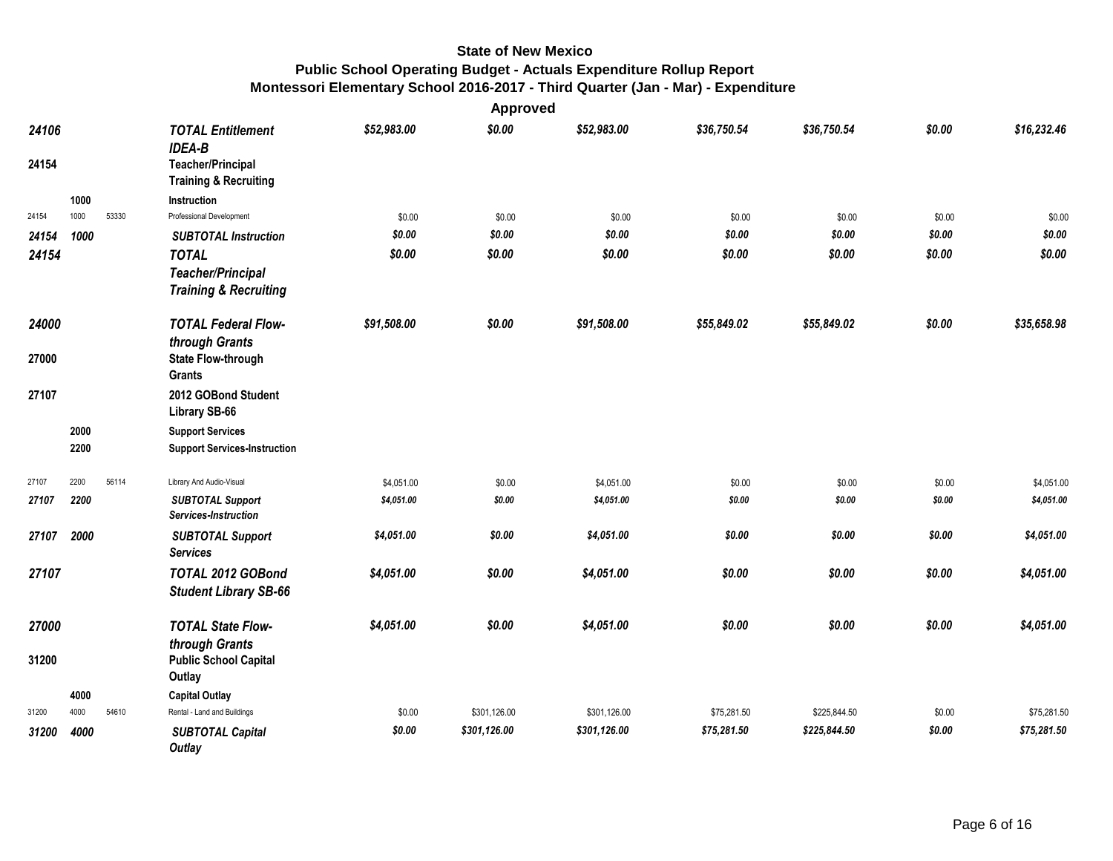|                |      |       |                                                                                                           |             | Approved     |              |             |              |        |             |
|----------------|------|-------|-----------------------------------------------------------------------------------------------------------|-------------|--------------|--------------|-------------|--------------|--------|-------------|
| 24106<br>24154 |      |       | <b>TOTAL Entitlement</b><br><b>IDEA-B</b><br><b>Teacher/Principal</b><br><b>Training &amp; Recruiting</b> | \$52,983.00 | \$0.00       | \$52,983.00  | \$36,750.54 | \$36,750.54  | \$0.00 | \$16,232.46 |
|                | 1000 |       | Instruction                                                                                               |             |              |              |             |              |        |             |
| 24154          | 1000 | 53330 | Professional Development                                                                                  | \$0.00      | \$0.00       | \$0.00       | \$0.00      | \$0.00       | \$0.00 | \$0.00      |
| 24154          | 1000 |       | <b>SUBTOTAL Instruction</b>                                                                               | \$0.00      | \$0.00       | \$0.00       | \$0.00      | \$0.00       | \$0.00 | \$0.00      |
| 24154          |      |       | <b>TOTAL</b>                                                                                              | \$0.00      | \$0.00       | \$0.00       | \$0.00      | \$0.00       | \$0.00 | \$0.00      |
|                |      |       | <b>Teacher/Principal</b>                                                                                  |             |              |              |             |              |        |             |
|                |      |       | <b>Training &amp; Recruiting</b>                                                                          |             |              |              |             |              |        |             |
| 24000          |      |       | <b>TOTAL Federal Flow-</b>                                                                                | \$91,508.00 | \$0.00       | \$91,508.00  | \$55,849.02 | \$55,849.02  | \$0.00 | \$35,658.98 |
| 27000          |      |       | through Grants<br><b>State Flow-through</b><br><b>Grants</b>                                              |             |              |              |             |              |        |             |
| 27107          |      |       | 2012 GOBond Student<br>Library SB-66                                                                      |             |              |              |             |              |        |             |
|                | 2000 |       | <b>Support Services</b>                                                                                   |             |              |              |             |              |        |             |
|                | 2200 |       | <b>Support Services-Instruction</b>                                                                       |             |              |              |             |              |        |             |
| 27107          | 2200 | 56114 | Library And Audio-Visual                                                                                  | \$4,051.00  | \$0.00       | \$4,051.00   | \$0.00      | \$0.00       | \$0.00 | \$4,051.00  |
| 27107          | 2200 |       | <b>SUBTOTAL Support</b><br>Services-Instruction                                                           | \$4,051.00  | \$0.00       | \$4,051.00   | \$0.00      | \$0.00       | \$0.00 | \$4,051.00  |
| 27107          | 2000 |       | <b>SUBTOTAL Support</b><br><b>Services</b>                                                                | \$4,051.00  | \$0.00       | \$4,051.00   | \$0.00      | \$0.00       | \$0.00 | \$4,051.00  |
| 27107          |      |       | TOTAL 2012 GOBond<br><b>Student Library SB-66</b>                                                         | \$4,051.00  | \$0.00       | \$4,051.00   | \$0.00      | \$0.00       | \$0.00 | \$4,051.00  |
| 27000          |      |       | <b>TOTAL State Flow-</b>                                                                                  | \$4,051.00  | \$0.00       | \$4,051.00   | \$0.00      | \$0.00       | \$0.00 | \$4,051.00  |
| 31200          |      |       | through Grants<br><b>Public School Capital</b><br>Outlay                                                  |             |              |              |             |              |        |             |
|                | 4000 |       | <b>Capital Outlay</b>                                                                                     |             |              |              |             |              |        |             |
| 31200          | 4000 | 54610 | Rental - Land and Buildings                                                                               | \$0.00      | \$301,126.00 | \$301,126.00 | \$75,281.50 | \$225,844.50 | \$0.00 | \$75,281.50 |
| 31200          | 4000 |       | <b>SUBTOTAL Capital</b><br><b>Outlay</b>                                                                  | \$0.00      | \$301,126.00 | \$301,126.00 | \$75,281.50 | \$225,844.50 | \$0.00 | \$75,281.50 |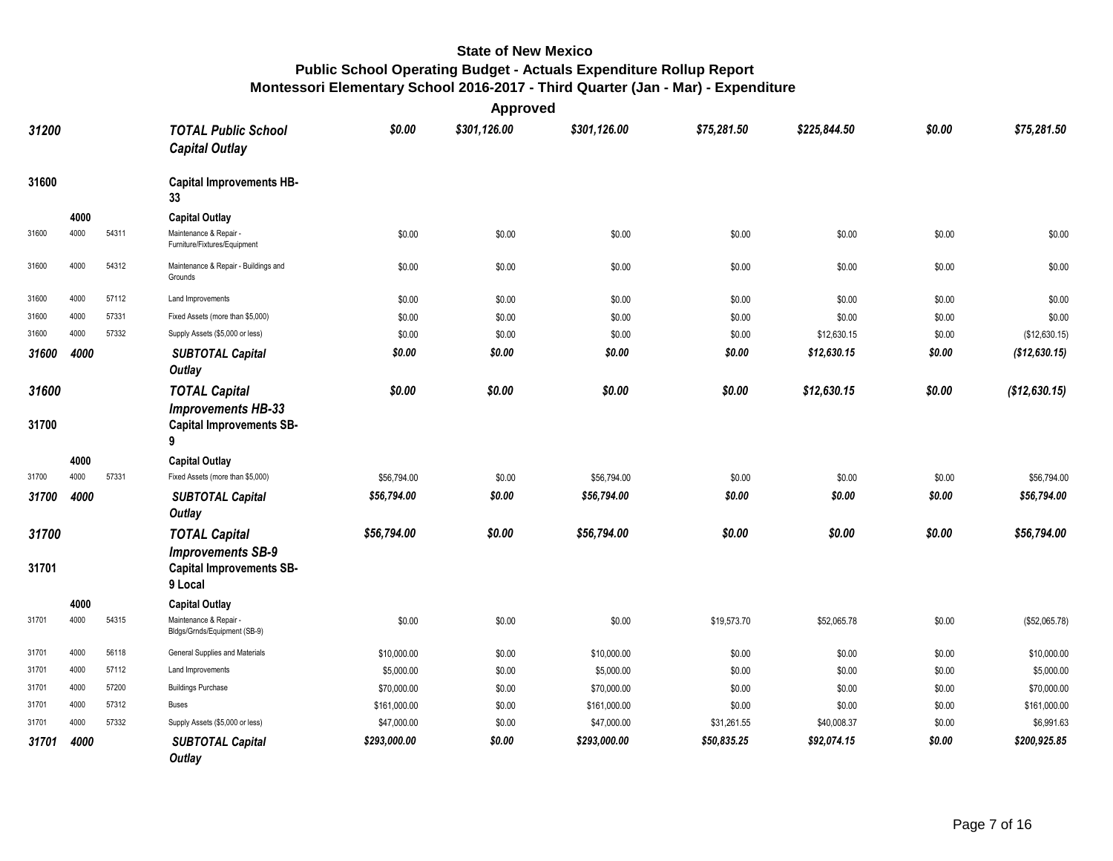|                |      |       |                                                                                           |              | Approved     |              |             |              |        |               |
|----------------|------|-------|-------------------------------------------------------------------------------------------|--------------|--------------|--------------|-------------|--------------|--------|---------------|
| 31200          |      |       | <b>TOTAL Public School</b><br><b>Capital Outlay</b>                                       | \$0.00       | \$301,126.00 | \$301,126.00 | \$75,281.50 | \$225,844.50 | \$0.00 | \$75,281.50   |
| 31600          |      |       | <b>Capital Improvements HB-</b><br>33                                                     |              |              |              |             |              |        |               |
|                | 4000 |       | <b>Capital Outlay</b>                                                                     |              |              |              |             |              |        |               |
| 31600          | 4000 | 54311 | Maintenance & Repair -<br>Furniture/Fixtures/Equipment                                    | \$0.00       | \$0.00       | \$0.00       | \$0.00      | \$0.00       | \$0.00 | \$0.00        |
| 31600          | 4000 | 54312 | Maintenance & Repair - Buildings and<br>Grounds                                           | \$0.00       | \$0.00       | \$0.00       | \$0.00      | \$0.00       | \$0.00 | \$0.00        |
| 31600          | 4000 | 57112 | Land Improvements                                                                         | \$0.00       | \$0.00       | \$0.00       | \$0.00      | \$0.00       | \$0.00 | \$0.00        |
| 31600          | 4000 | 57331 | Fixed Assets (more than \$5,000)                                                          | \$0.00       | \$0.00       | \$0.00       | \$0.00      | \$0.00       | \$0.00 | \$0.00        |
| 31600          | 4000 | 57332 | Supply Assets (\$5,000 or less)                                                           | \$0.00       | \$0.00       | \$0.00       | \$0.00      | \$12,630.15  | \$0.00 | (\$12,630.15) |
| 31600          | 4000 |       | <b>SUBTOTAL Capital</b><br>Outlay                                                         | \$0.00       | \$0.00       | \$0.00       | \$0.00      | \$12,630.15  | \$0.00 | (\$12,630.15) |
| 31600<br>31700 |      |       | <b>TOTAL Capital</b><br><b>Improvements HB-33</b><br><b>Capital Improvements SB-</b><br>9 | \$0.00       | \$0.00       | \$0.00       | \$0.00      | \$12,630.15  | \$0.00 | (\$12,630.15) |
|                | 4000 |       | <b>Capital Outlay</b>                                                                     |              |              |              |             |              |        |               |
| 31700          | 4000 | 57331 | Fixed Assets (more than \$5,000)                                                          | \$56.794.00  | \$0.00       | \$56,794.00  | \$0.00      | \$0.00       | \$0.00 | \$56,794.00   |
| 31700          | 4000 |       | <b>SUBTOTAL Capital</b><br>Outlay                                                         | \$56,794.00  | \$0.00       | \$56,794.00  | \$0.00      | \$0.00       | \$0.00 | \$56,794.00   |
| 31700          |      |       | <b>TOTAL Capital</b><br><b>Improvements SB-9</b>                                          | \$56,794.00  | \$0.00       | \$56,794.00  | \$0.00      | \$0.00       | \$0.00 | \$56,794.00   |
| 31701          |      |       | <b>Capital Improvements SB-</b><br>9 Local                                                |              |              |              |             |              |        |               |
|                | 4000 |       | <b>Capital Outlay</b>                                                                     |              |              |              |             |              |        |               |
| 31701          | 4000 | 54315 | Maintenance & Repair<br>Bldgs/Grnds/Equipment (SB-9)                                      | \$0.00       | \$0.00       | \$0.00       | \$19,573.70 | \$52,065.78  | \$0.00 | (\$52,065.78) |
| 31701          | 4000 | 56118 | General Supplies and Materials                                                            | \$10,000.00  | \$0.00       | \$10,000.00  | \$0.00      | \$0.00       | \$0.00 | \$10,000.00   |
| 31701          | 4000 | 57112 | Land Improvements                                                                         | \$5,000.00   | \$0.00       | \$5,000.00   | \$0.00      | \$0.00       | \$0.00 | \$5,000.00    |
| 31701          | 4000 | 57200 | <b>Buildings Purchase</b>                                                                 | \$70,000.00  | \$0.00       | \$70,000.00  | \$0.00      | \$0.00       | \$0.00 | \$70,000.00   |
| 31701          | 4000 | 57312 | <b>Buses</b>                                                                              | \$161,000.00 | \$0.00       | \$161,000.00 | \$0.00      | \$0.00       | \$0.00 | \$161,000.00  |
| 31701          | 4000 | 57332 | Supply Assets (\$5,000 or less)                                                           | \$47,000.00  | \$0.00       | \$47,000.00  | \$31,261.55 | \$40,008.37  | \$0.00 | \$6,991.63    |
| 31701          | 4000 |       | <b>SUBTOTAL Capital</b><br><b>Outlay</b>                                                  | \$293,000.00 | \$0.00       | \$293,000.00 | \$50,835.25 | \$92,074.15  | \$0.00 | \$200,925.85  |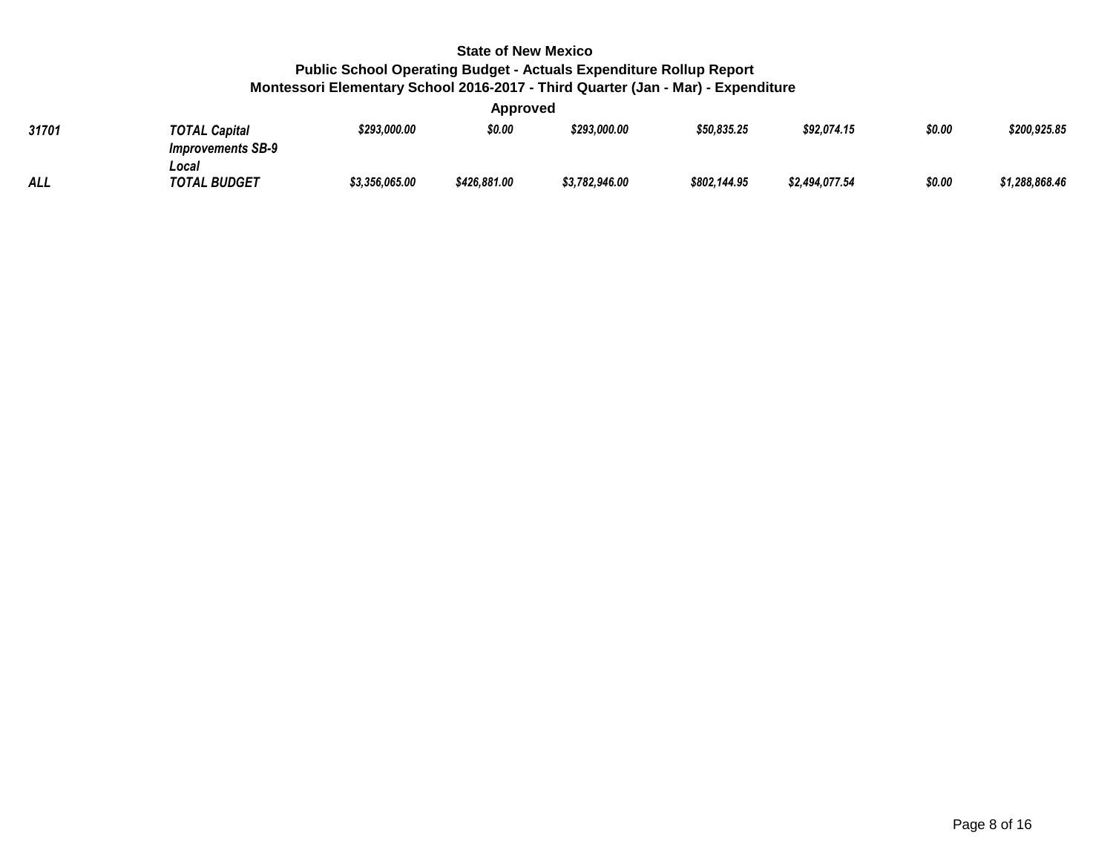**Approved**

| 31701      | <b>TOTAL Capital</b><br><b>Improvements SB-9</b> | \$293,000.00   | --<br>\$0.00 | \$293,000.00   | \$50,835.25  | \$92,074.15    | \$0.00 | \$200,925.85   |
|------------|--------------------------------------------------|----------------|--------------|----------------|--------------|----------------|--------|----------------|
| <b>ALL</b> | Local<br><b>TOTAL BUDGET</b>                     | \$3,356,065.00 | \$426,881.00 | \$3,782,946.00 | \$802,144.95 | \$2,494,077.54 | \$0.00 | \$1,288,868.46 |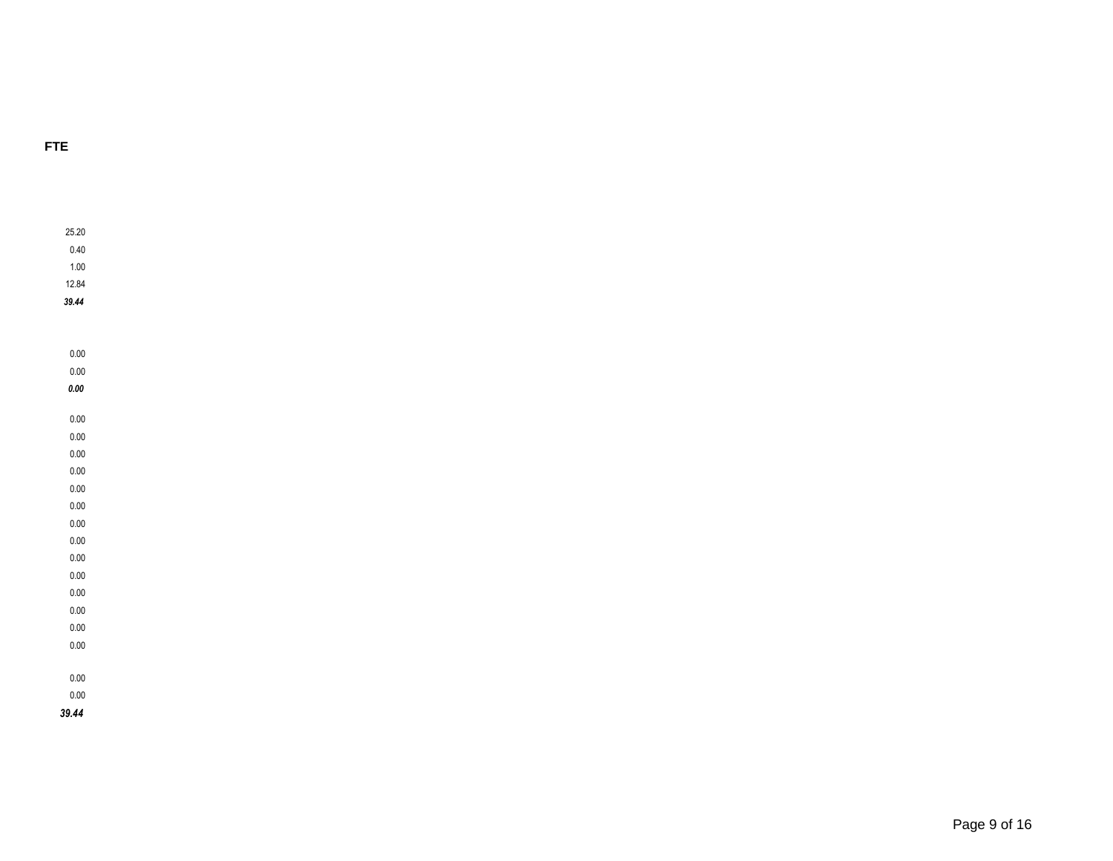#### **FTE**

25.20

0.40

1.00

12.84

*39.44*

0.00

0.00

*0.00*

0.00

0.00 0.00

0.00

0.00

0.00

0.00

0.00

0.00 0.00

0.00

0.00

0.00 0.00

0.00

0.00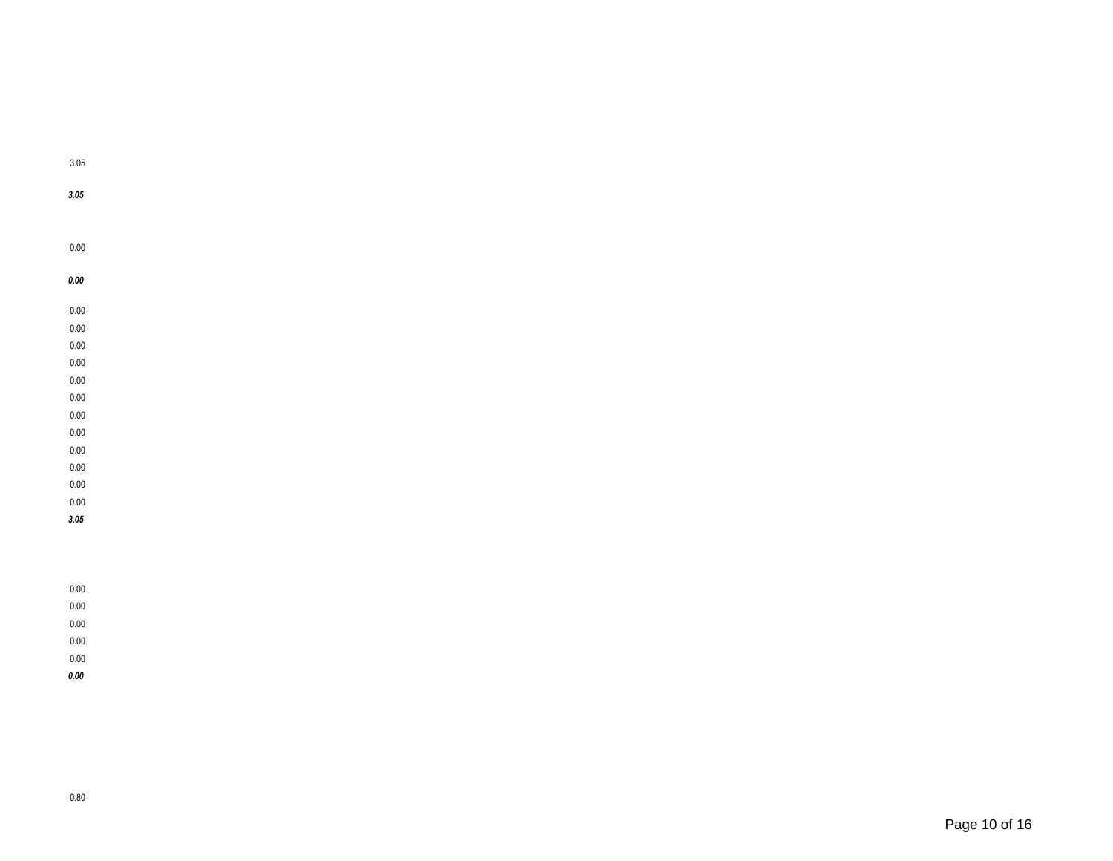| 0.00 |  |
|------|--|
| 0.00 |  |
| 0.00 |  |
| 0.00 |  |
| 0.00 |  |
| 0.00 |  |
| 0.00 |  |
| 0.00 |  |
| 0.00 |  |
| 0.00 |  |
| 0.00 |  |
| 0.00 |  |

0.00 0.00 *3.05*

0.00 0.00 0.00 0.00 0.00 *0.00*

3.05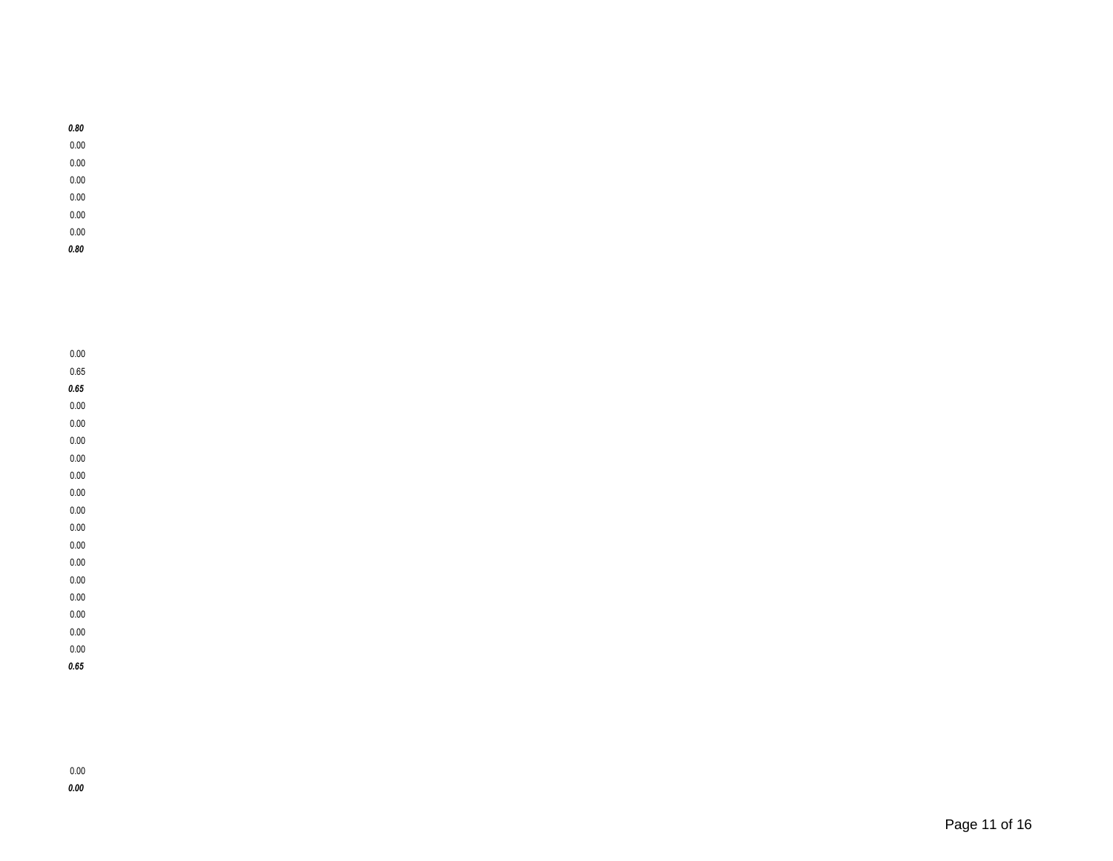0.00

- 0.00
- 0.00
- 0.00
- 0.00
- 0.00 *0.80*
- 

0.00

0.65

*0.65* 0.00

0.00

0.00 0.00

0.00

0.00

0.00

0.00 0.00

0.00

0.00

0.00

0.00

0.00

0.00 *0.65*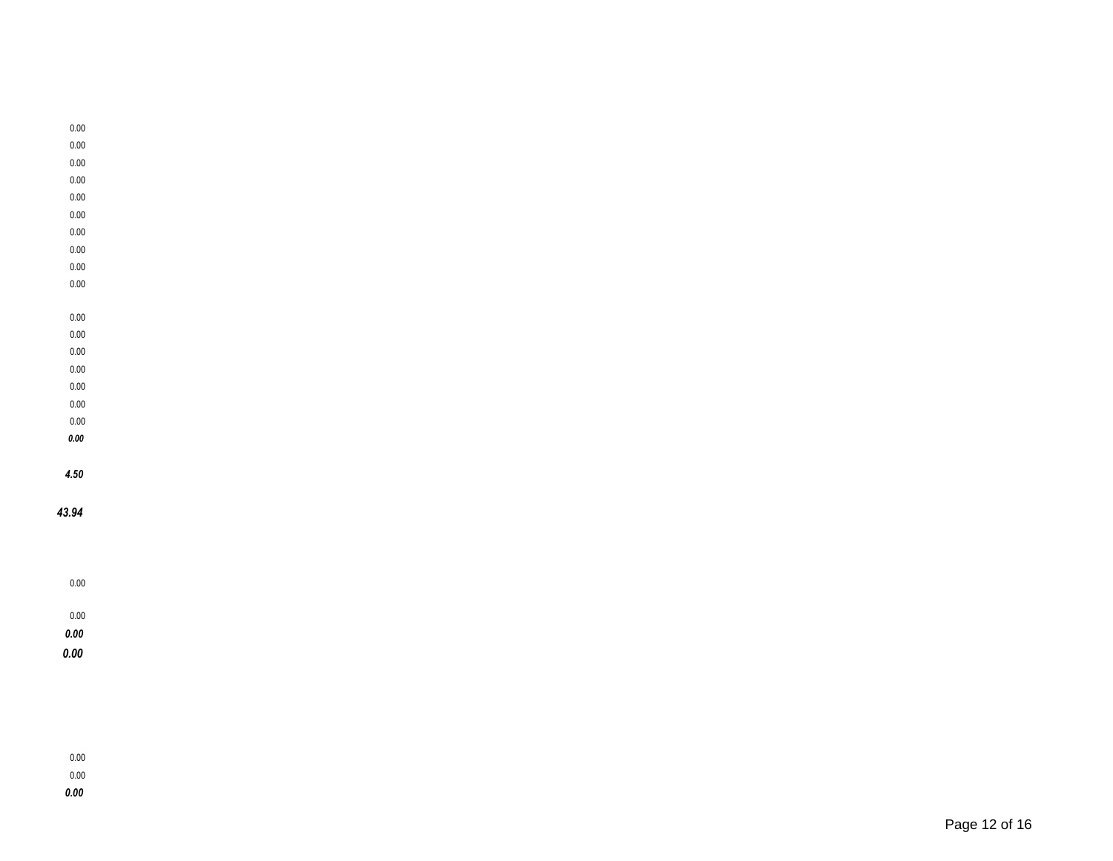- 0.00
- 0.00
- 0.00
- 0.00 0.00
- 0.00
- 0.00
- 0.00
- 
- 0.00
- 
- 
- 0.00
- 0.00
- 0.00
- 0.00
- 0.00
- 0.00
- 0.00
- *0.00*
- 
- *4.50*

#### *43.94*

### 0.00 0.00

- *0.00*
- *0.00*

- 0.00 0.00
- *0.00*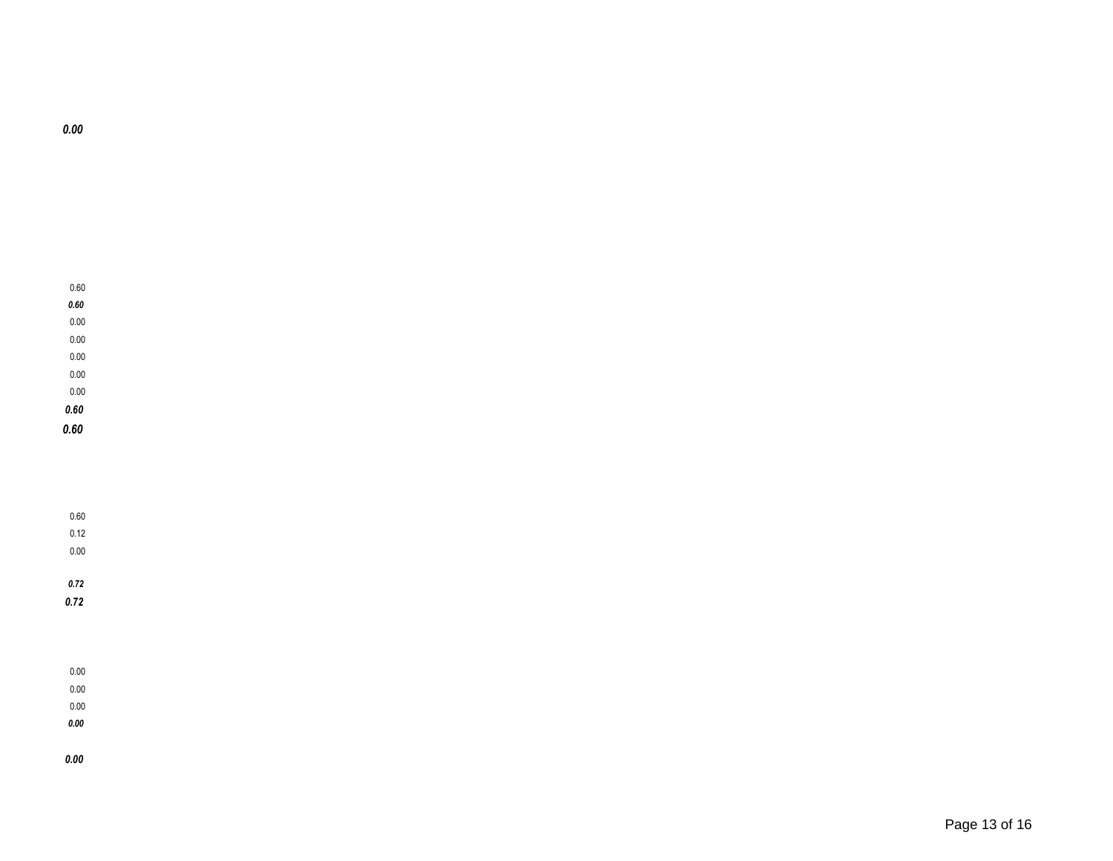#### 0.00 0.00

0.00

*0.00*

#### *0.00*

### *0.72*

0.12

0.00 0.00

0.00 *0.72*

# 0.60

*0.60 0.60*

#### 0.00 0.00 0.00

0.60 *0.60*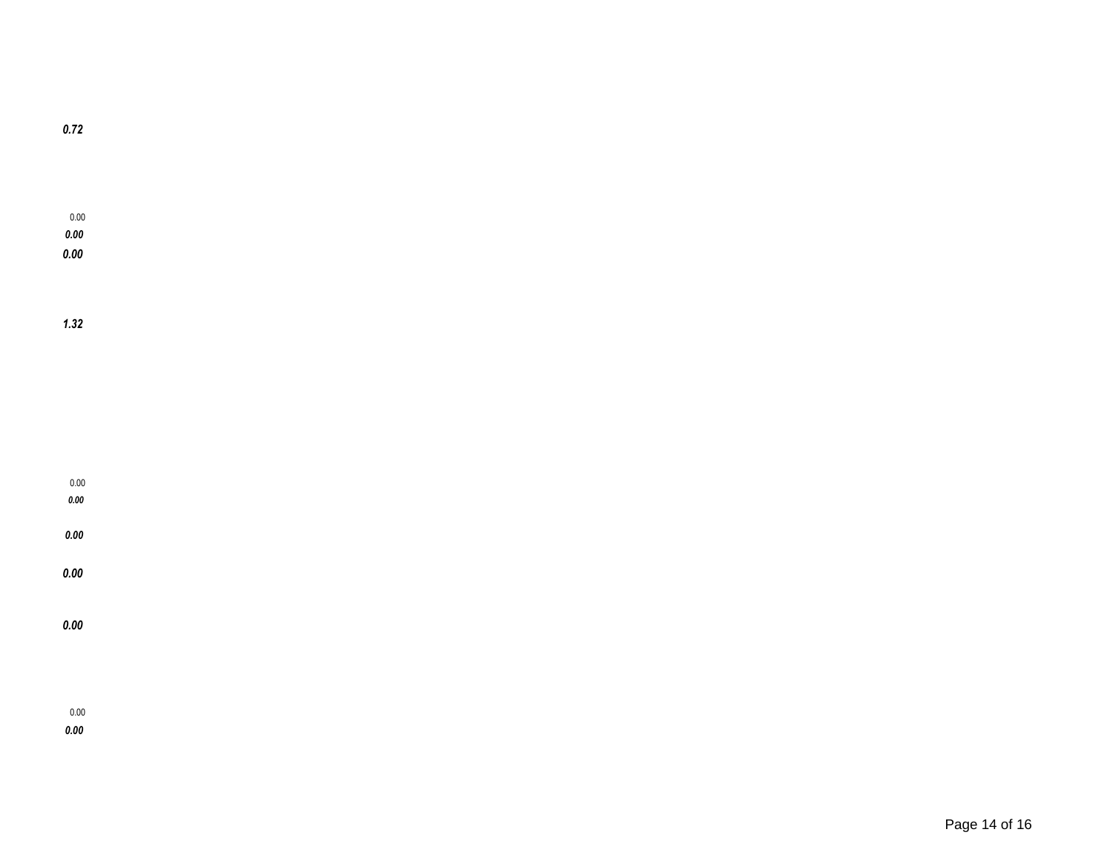*1.32*

0.00 *0.00 0.00*

0.00

*0.00*

*0.00*

*0.00*

*0.00*

0.00